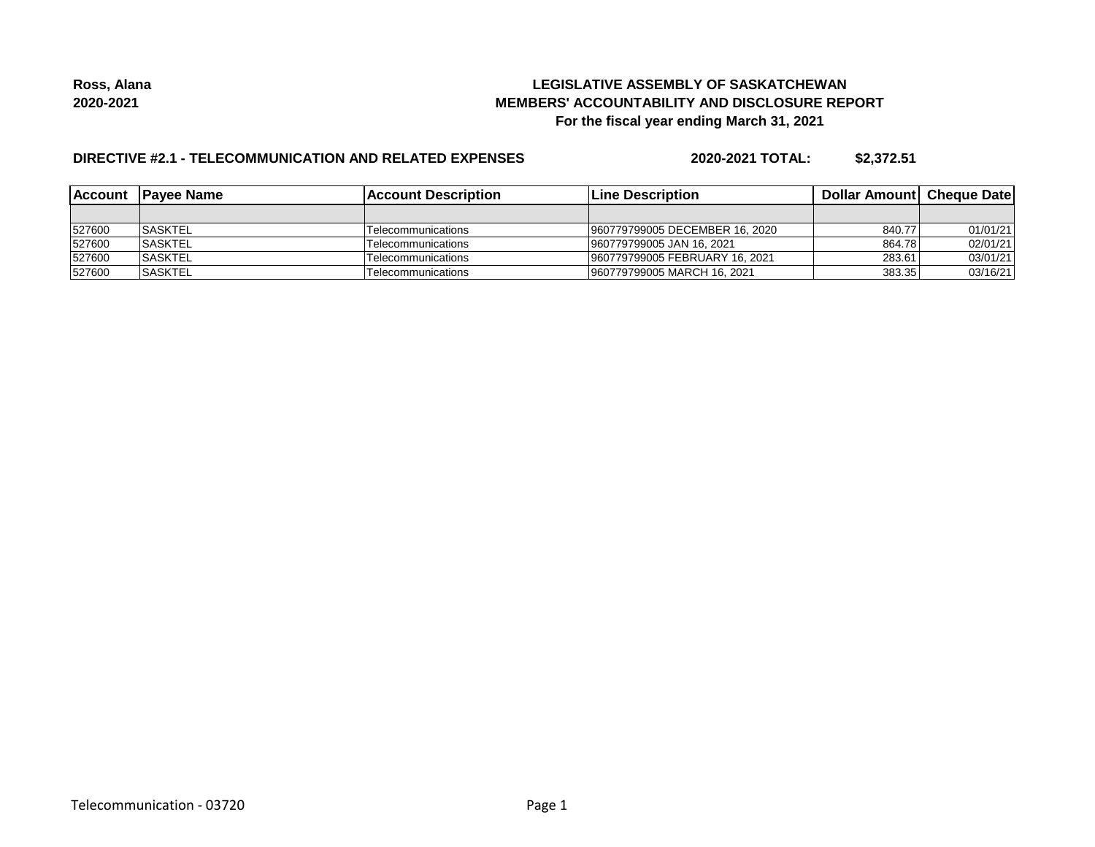## **LEGISLATIVE ASSEMBLY OF SASKATCHEWAN MEMBERS' ACCOUNTABILITY AND DISCLOSURE REPORT For the fiscal year ending March 31, 2021**

## **DIRECTIVE #2.1 - TELECOMMUNICATION AND RELATED EXPENSES**

**2020-2021 TOTAL: \$2,372.51**

| <b>IAccount</b> | <b>IPavee Name</b> | <b>IAccount Description</b> | <b>Line Description</b>        | <b>Dollar AmountI Cheque Date</b> |          |
|-----------------|--------------------|-----------------------------|--------------------------------|-----------------------------------|----------|
|                 |                    |                             |                                |                                   |          |
| 527600          | <b>ISASKTEL</b>    | Telecommunications          | 960779799005 DECEMBER 16, 2020 | 840.77                            | 01/01/21 |
| 527600          | <b>SASKTEL</b>     | Telecommunications          | 960779799005 JAN 16, 2021      | 864.78                            | 02/01/21 |
| 527600          | <b>SASKTEL</b>     | Telecommunications          | 960779799005 FEBRUARY 16, 2021 | 283.61                            | 03/01/21 |
| 527600          | <b>ISASKTEL</b>    | Telecommunications          | 960779799005 MARCH 16, 2021    | 383.35                            | 03/16/21 |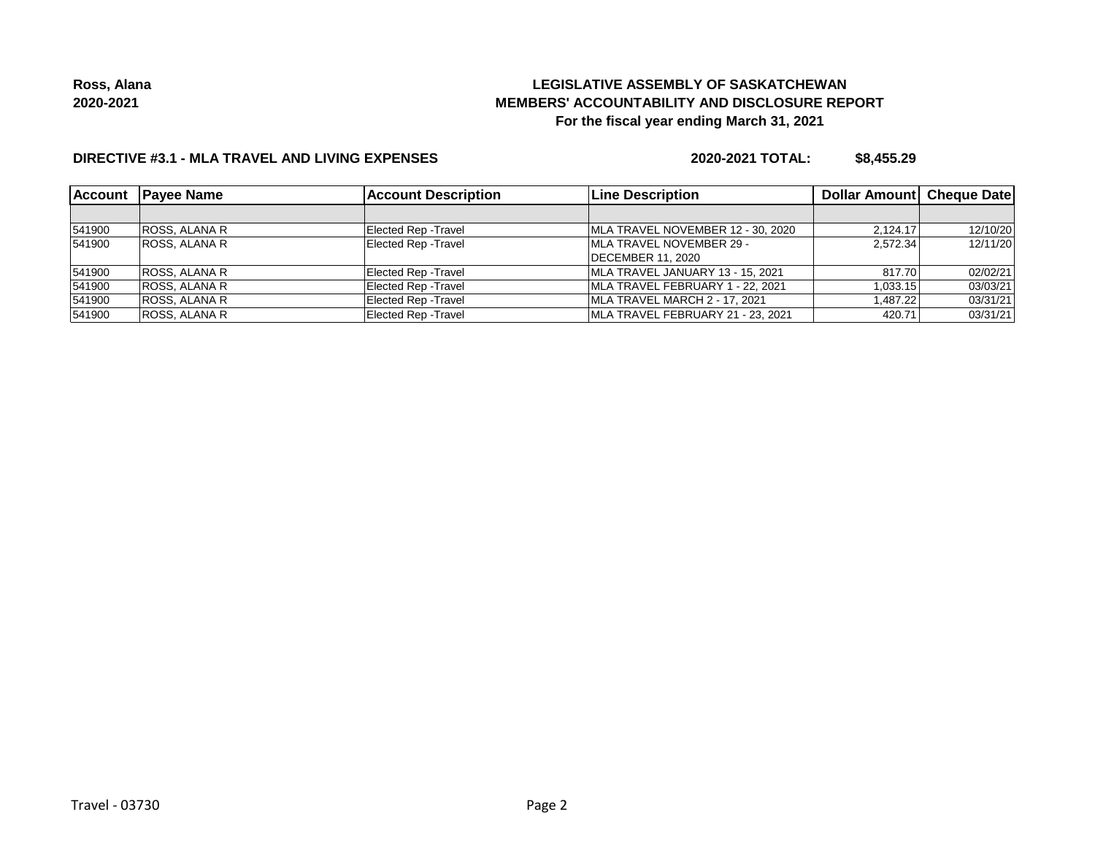## **LEGISLATIVE ASSEMBLY OF SASKATCHEWAN MEMBERS' ACCOUNTABILITY AND DISCLOSURE REPORT For the fiscal year ending March 31, 2021**

### **DIRECTIVE #3.1 - MLA TRAVEL AND LIVING EXPENSES**

**2020-2021 TOTAL: \$8,455.29**

| <b>Account</b> | <b>IPavee Name</b>   | <b>Account Description</b>  | Line Description                  | Dollar Amount Cheque Date |          |
|----------------|----------------------|-----------------------------|-----------------------------------|---------------------------|----------|
|                |                      |                             |                                   |                           |          |
| 541900         | ROSS, ALANA R        | <b>Elected Rep - Travel</b> | MLA TRAVEL NOVEMBER 12 - 30, 2020 | 2.124.17                  | 12/10/20 |
| 541900         | <b>ROSS, ALANA R</b> | Elected Rep - Travel        | <b>IMLA TRAVEL NOVEMBER 29 -</b>  | 2.572.34                  | 12/11/20 |
|                |                      |                             | <b>IDECEMBER 11, 2020</b>         |                           |          |
| 541900         | ROSS, ALANA R        | Elected Rep - Travel        | MLA TRAVEL JANUARY 13 - 15, 2021  | 817.70                    | 02/02/21 |
| 541900         | ROSS, ALANA R        | <b>Elected Rep - Travel</b> | MLA TRAVEL FEBRUARY 1 - 22, 2021  | 1,033.15                  | 03/03/21 |
| 541900         | <b>ROSS, ALANA R</b> | <b>Elected Rep - Travel</b> | MLA TRAVEL MARCH 2 - 17, 2021     | 1.487.22                  | 03/31/21 |
| 541900         | ROSS, ALANA R        | <b>Elected Rep - Travel</b> | MLA TRAVEL FEBRUARY 21 - 23, 2021 | 420.71                    | 03/31/21 |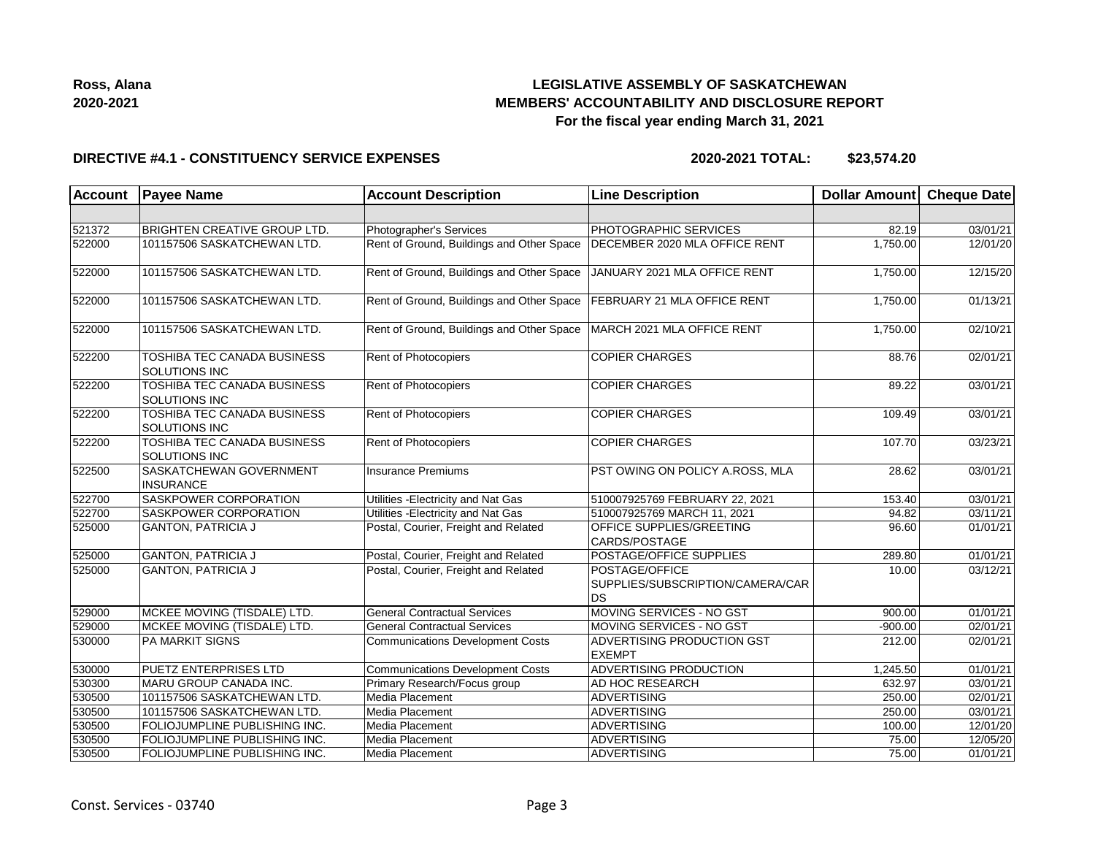

## **LEGISLATIVE ASSEMBLY OF SASKATCHEWAN MEMBERS' ACCOUNTABILITY AND DISCLOSURE REPORT For the fiscal year ending March 31, 2021**

#### **DIRECTIVE #4.1 - CONSTITUENCY SERVICE EXPENSES**

**2020-2021 TOTAL: \$23,574.20**

| <b>Account</b> | <b>Payee Name</b>                                          | <b>Account Description</b>                | <b>Line Description</b>                                         | <b>Dollar Amount</b> | <b>Cheque Date</b>    |
|----------------|------------------------------------------------------------|-------------------------------------------|-----------------------------------------------------------------|----------------------|-----------------------|
|                |                                                            |                                           |                                                                 |                      |                       |
| 521372         | <b>BRIGHTEN CREATIVE GROUP LTD.</b>                        | Photographer's Services                   | <b>PHOTOGRAPHIC SERVICES</b>                                    | 82.19                | 03/01/21              |
| 522000         | 101157506 SASKATCHEWAN LTD.                                | Rent of Ground, Buildings and Other Space | DECEMBER 2020 MLA OFFICE RENT                                   | 1,750.00             | 12/01/20              |
| 522000         | 101157506 SASKATCHEWAN LTD.                                | Rent of Ground, Buildings and Other Space | JANUARY 2021 MLA OFFICE RENT                                    | 1,750.00             | 12/15/20              |
| 522000         | 101157506 SASKATCHEWAN LTD.                                | Rent of Ground, Buildings and Other Space | FEBRUARY 21 MLA OFFICE RENT                                     | 1,750.00             | 01/13/21              |
| 522000         | 101157506 SASKATCHEWAN LTD.                                | Rent of Ground, Buildings and Other Space | MARCH 2021 MLA OFFICE RENT                                      | 1,750.00             | 02/10/21              |
| 522200         | TOSHIBA TEC CANADA BUSINESS<br><b>SOLUTIONS INC</b>        | Rent of Photocopiers                      | <b>COPIER CHARGES</b>                                           | 88.76                | 02/01/21              |
| 522200         | TOSHIBA TEC CANADA BUSINESS<br><b>SOLUTIONS INC</b>        | Rent of Photocopiers                      | <b>COPIER CHARGES</b>                                           | 89.22                | 03/01/21              |
| 522200         | <b>TOSHIBA TEC CANADA BUSINESS</b><br>SOLUTIONS INC        | Rent of Photocopiers                      | <b>COPIER CHARGES</b>                                           | 109.49               | 03/01/21              |
| 522200         | <b>TOSHIBA TEC CANADA BUSINESS</b><br><b>SOLUTIONS INC</b> | Rent of Photocopiers                      | <b>COPIER CHARGES</b>                                           | 107.70               | 03/23/21              |
| 522500         | SASKATCHEWAN GOVERNMENT<br><b>INSURANCE</b>                | <b>Insurance Premiums</b>                 | PST OWING ON POLICY A.ROSS, MLA                                 | 28.62                | 03/01/21              |
| 522700         | <b>SASKPOWER CORPORATION</b>                               | Utilities - Electricity and Nat Gas       | 510007925769 FEBRUARY 22, 2021                                  | 153.40               | 03/01/21              |
| 522700         | <b>SASKPOWER CORPORATION</b>                               | Utilities - Electricity and Nat Gas       | 510007925769 MARCH 11, 2021                                     | 94.82                | 03/11/21              |
| 525000         | <b>GANTON, PATRICIA J</b>                                  | Postal, Courier, Freight and Related      | <b>OFFICE SUPPLIES/GREETING</b><br>CARDS/POSTAGE                | 96.60                | 01/01/21              |
| 525000         | <b>GANTON, PATRICIA J</b>                                  | Postal, Courier, Freight and Related      | POSTAGE/OFFICE SUPPLIES                                         | 289.80               | 01/01/21              |
| 525000         | <b>GANTON, PATRICIA J</b>                                  | Postal, Courier, Freight and Related      | POSTAGE/OFFICE<br>SUPPLIES/SUBSCRIPTION/CAMERA/CAR<br><b>DS</b> | 10.00                | 03/12/21              |
| 529000         | MCKEE MOVING (TISDALE) LTD.                                | <b>General Contractual Services</b>       | MOVING SERVICES - NO GST                                        | 900.00               | $\overline{01/01/21}$ |
| 529000         | MCKEE MOVING (TISDALE) LTD.                                | <b>General Contractual Services</b>       | MOVING SERVICES - NO GST                                        | $-900.00$            | 02/01/21              |
| 530000         | <b>PA MARKIT SIGNS</b>                                     | <b>Communications Development Costs</b>   | ADVERTISING PRODUCTION GST<br><b>EXEMPT</b>                     | 212.00               | 02/01/21              |
| 530000         | <b>PUETZ ENTERPRISES LTD</b>                               | <b>Communications Development Costs</b>   | <b>ADVERTISING PRODUCTION</b>                                   | 1,245.50             | 01/01/21              |
| 530300         | MARU GROUP CANADA INC.                                     | Primary Research/Focus group              | AD HOC RESEARCH                                                 | 632.97               | 03/01/21              |
| 530500         | 101157506 SASKATCHEWAN LTD.                                | Media Placement                           | ADVERTISING                                                     | 250.00               | 02/01/21              |
| 530500         | 101157506 SASKATCHEWAN LTD.                                | Media Placement                           | ADVERTISING                                                     | 250.00               | 03/01/21              |
| 530500         | FOLIOJUMPLINE PUBLISHING INC.                              | Media Placement                           | ADVERTISING                                                     | 100.00               | 12/01/20              |
| 530500         | FOLIOJUMPLINE PUBLISHING INC.                              | Media Placement                           | <b>ADVERTISING</b>                                              | 75.00                | 12/05/20              |
| 530500         | FOLIOJUMPLINE PUBLISHING INC.                              | Media Placement                           | ADVERTISING                                                     | 75.00                | 01/01/21              |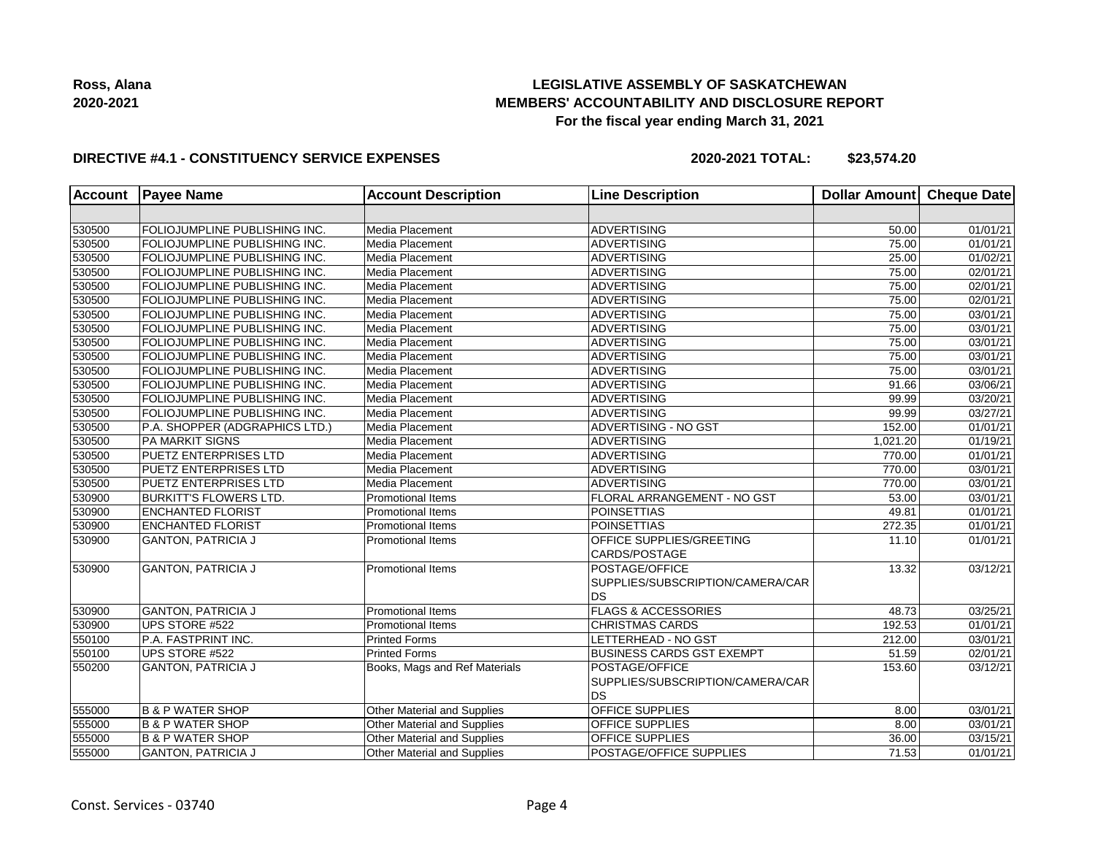## **LEGISLATIVE ASSEMBLY OF SASKATCHEWAN MEMBERS' ACCOUNTABILITY AND DISCLOSURE REPORT For the fiscal year ending March 31, 2021**

### **DIRECTIVE #4.1 - CONSTITUENCY SERVICE EXPENSES**

**2020-2021 TOTAL: \$23,574.20**

| <b>Account</b> | <b>Payee Name</b>                    | <b>Account Description</b>    | <b>Line Description</b>          | <b>Dollar Amount</b> | Cheque Date           |
|----------------|--------------------------------------|-------------------------------|----------------------------------|----------------------|-----------------------|
|                |                                      |                               |                                  |                      |                       |
| 530500         | FOLIOJUMPLINE PUBLISHING INC.        | Media Placement               | ADVERTISING                      | 50.00                | 01/01/21              |
| 530500         | FOLIOJUMPLINE PUBLISHING INC.        | Media Placement               | <b>ADVERTISING</b>               | 75.00                | 01/01/21              |
| 530500         | FOLIOJUMPLINE PUBLISHING INC.        | Media Placement               | <b>ADVERTISING</b>               | 25.00                | 01/02/21              |
| 530500         | FOLIOJUMPLINE PUBLISHING INC.        | Media Placement               | ADVERTISING                      | 75.00                | 02/01/21              |
| 530500         | <b>FOLIOJUMPLINE PUBLISHING INC.</b> | Media Placement               | <b>ADVERTISING</b>               | 75.00                | 02/01/21              |
| 530500         | FOLIOJUMPLINE PUBLISHING INC.        | Media Placement               | <b>ADVERTISING</b>               | 75.00                | 02/01/21              |
| 530500         | FOLIOJUMPLINE PUBLISHING INC.        | Media Placement               | <b>ADVERTISING</b>               | 75.00                | $\overline{03}/01/21$ |
| 530500         | FOLIOJUMPLINE PUBLISHING INC.        | Media Placement               | ADVERTISING                      | 75.00                | 03/01/21              |
| 530500         | FOLIOJUMPLINE PUBLISHING INC.        | Media Placement               | ADVERTISING                      | 75.00                | 03/01/21              |
| 530500         | FOLIOJUMPLINE PUBLISHING INC.        | Media Placement               | ADVERTISING                      | 75.00                | 03/01/21              |
| 530500         | FOLIOJUMPLINE PUBLISHING INC.        | Media Placement               | ADVERTISING                      | 75.00                | 03/01/21              |
| 530500         | FOLIOJUMPLINE PUBLISHING INC.        | Media Placement               | <b>ADVERTISING</b>               | 91.66                | 03/06/21              |
| 530500         | FOLIOJUMPLINE PUBLISHING INC.        | Media Placement               | <b>ADVERTISING</b>               | 99.99                | 03/20/21              |
| 530500         | FOLIOJUMPLINE PUBLISHING INC.        | Media Placement               | <b>ADVERTISING</b>               | 99.99                | 03/27/21              |
| 530500         | P.A. SHOPPER (ADGRAPHICS LTD.)       | Media Placement               | ADVERTISING - NO GST             | 152.00               | 01/01/21              |
| 530500         | <b>PA MARKIT SIGNS</b>               | Media Placement               | <b>ADVERTISING</b>               | 1,021.20             | 01/19/21              |
| 530500         | <b>PUETZ ENTERPRISES LTD</b>         | Media Placement               | <b>ADVERTISING</b>               | 770.00               | 01/01/21              |
| 530500         | <b>PUETZ ENTERPRISES LTD</b>         | Media Placement               | <b>ADVERTISING</b>               | 770.00               | 03/01/21              |
| 530500         | <b>PUETZ ENTERPRISES LTD</b>         | Media Placement               | <b>ADVERTISING</b>               | 770.00               | $\overline{03}/01/21$ |
| 530900         | <b>BURKITT'S FLOWERS LTD.</b>        | <b>Promotional Items</b>      | FLORAL ARRANGEMENT - NO GST      | 53.00                | 03/01/21              |
| 530900         | <b>ENCHANTED FLORIST</b>             | <b>Promotional Items</b>      | POINSETTIAS                      | 49.81                | 01/01/21              |
| 530900         | <b>ENCHANTED FLORIST</b>             | <b>Promotional Items</b>      | <b>POINSETTIAS</b>               | 272.35               | 01/01/21              |
| 530900         | <b>GANTON, PATRICIA J</b>            | <b>Promotional Items</b>      | <b>OFFICE SUPPLIES/GREETING</b>  | 11.10                | 01/01/21              |
|                |                                      |                               | CARDS/POSTAGE                    |                      |                       |
| 530900         | <b>GANTON, PATRICIA J</b>            | <b>Promotional Items</b>      | <b>POSTAGE/OFFICE</b>            | 13.32                | 03/12/21              |
|                |                                      |                               | SUPPLIES/SUBSCRIPTION/CAMERA/CAR |                      |                       |
|                |                                      |                               | DS                               |                      |                       |
| 530900         | <b>GANTON, PATRICIA J</b>            | <b>Promotional Items</b>      | <b>FLAGS &amp; ACCESSORIES</b>   | 48.73                | 03/25/21              |
| 530900         | UPS STORE #522                       | <b>Promotional Items</b>      | <b>CHRISTMAS CARDS</b>           | 192.53               | 01/01/21              |
| 550100         | P.A. FASTPRINT INC.                  | <b>Printed Forms</b>          | LETTERHEAD - NO GST              | 212.00               | 03/01/21              |
| 550100         | UPS STORE #522                       | Printed Forms                 | <b>BUSINESS CARDS GST EXEMPT</b> | 51.59                | 02/01/21              |
| 550200         | <b>GANTON, PATRICIA J</b>            | Books, Mags and Ref Materials | <b>POSTAGE/OFFICE</b>            | 153.60               | 03/12/21              |
|                |                                      |                               | SUPPLIES/SUBSCRIPTION/CAMERA/CAR |                      |                       |
|                |                                      |                               | DS                               |                      |                       |
| 555000         | <b>B &amp; P WATER SHOP</b>          | Other Material and Supplies   | <b>OFFICE SUPPLIES</b>           | 8.00                 | 03/01/21              |
| 555000         | <b>B &amp; P WATER SHOP</b>          | Other Material and Supplies   | OFFICE SUPPLIES                  | 8.00                 | 03/01/21              |
| 555000         | <b>B &amp; P WATER SHOP</b>          | Other Material and Supplies   | <b>OFFICE SUPPLIES</b>           | 36.00                | 03/15/21              |
| 555000         | <b>GANTON, PATRICIA J</b>            | Other Material and Supplies   | POSTAGE/OFFICE SUPPLIES          | 71.53                | 01/01/21              |
|                |                                      |                               |                                  |                      |                       |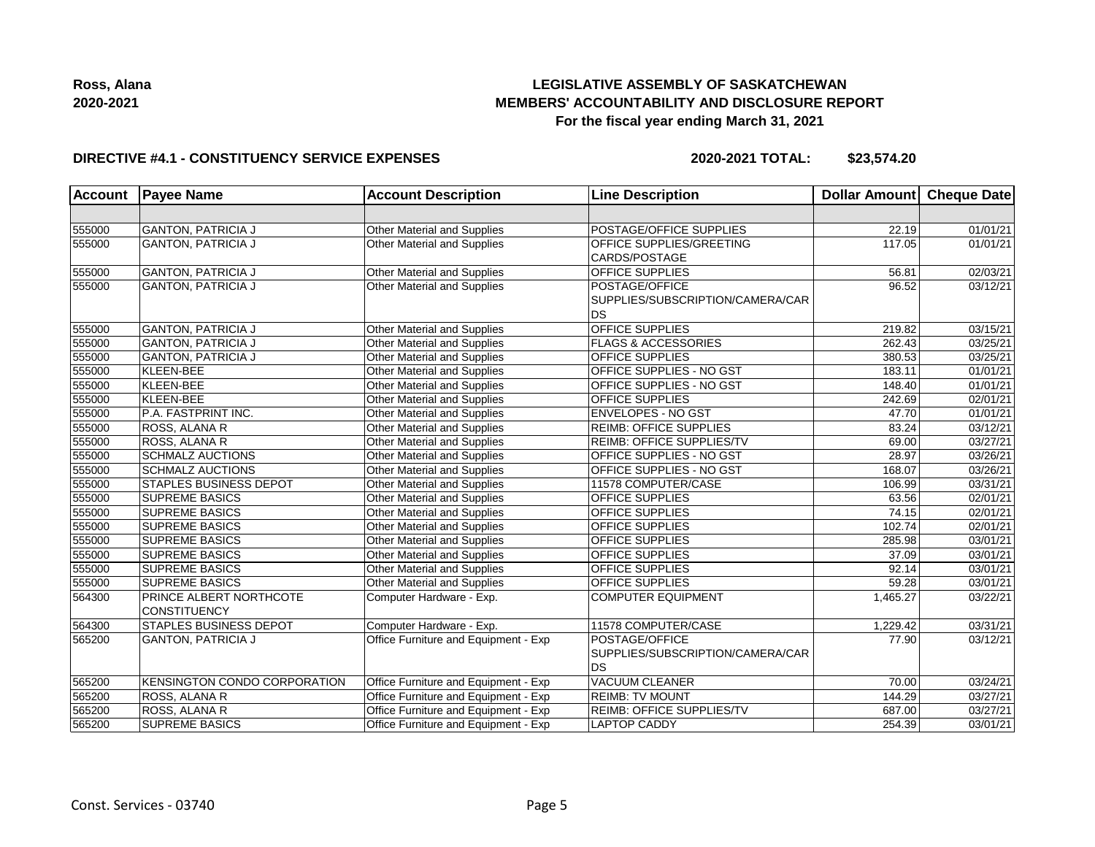

## **LEGISLATIVE ASSEMBLY OF SASKATCHEWAN MEMBERS' ACCOUNTABILITY AND DISCLOSURE REPORT For the fiscal year ending March 31, 2021**

### **DIRECTIVE #4.1 - CONSTITUENCY SERVICE EXPENSES**

**2020-2021 TOTAL: \$23,574.20**

| <b>Account</b> | <b>Payee Name</b>                       | <b>Account Description</b>           | <b>Line Description</b>                                         | Dollar Amount Cheque Date |                       |
|----------------|-----------------------------------------|--------------------------------------|-----------------------------------------------------------------|---------------------------|-----------------------|
|                |                                         |                                      |                                                                 |                           |                       |
| 555000         | <b>GANTON, PATRICIA J</b>               | Other Material and Supplies          | POSTAGE/OFFICE SUPPLIES                                         | 22.19                     | 01/01/21              |
| 555000         | <b>GANTON, PATRICIA J</b>               | Other Material and Supplies          | OFFICE SUPPLIES/GREETING<br>CARDS/POSTAGE                       | 117.05                    | 01/01/21              |
| 555000         | <b>GANTON, PATRICIA J</b>               | Other Material and Supplies          | OFFICE SUPPLIES                                                 | 56.81                     | 02/03/21              |
| 555000         | <b>GANTON, PATRICIA J</b>               | Other Material and Supplies          | POSTAGE/OFFICE<br>SUPPLIES/SUBSCRIPTION/CAMERA/CAR<br><b>DS</b> | 96.52                     | 03/12/21              |
| 555000         | <b>GANTON, PATRICIA J</b>               | Other Material and Supplies          | <b>OFFICE SUPPLIES</b>                                          | 219.82                    | $\overline{03/1}5/21$ |
| 555000         | <b>GANTON, PATRICIA J</b>               | Other Material and Supplies          | <b>FLAGS &amp; ACCESSORIES</b>                                  | 262.43                    | 03/25/21              |
| 555000         | <b>GANTON, PATRICIA J</b>               | Other Material and Supplies          | <b>OFFICE SUPPLIES</b>                                          | 380.53                    | 03/25/21              |
| 555000         | KLEEN-BEE                               | Other Material and Supplies          | <b>OFFICE SUPPLIES - NO GST</b>                                 | 183.11                    | 01/01/21              |
| 555000         | KLEEN-BEE                               | Other Material and Supplies          | <b>OFFICE SUPPLIES - NO GST</b>                                 | 148.40                    | 01/01/21              |
| 555000         | KLEEN-BEE                               | Other Material and Supplies          | <b>OFFICE SUPPLIES</b>                                          | 242.69                    | 02/01/21              |
| 555000         | P.A. FASTPRINT INC.                     | Other Material and Supplies          | <b>ENVELOPES - NO GST</b>                                       | 47.70                     | 01/01/21              |
| 555000         | <b>ROSS, ALANA R</b>                    | Other Material and Supplies          | <b>REIMB: OFFICE SUPPLIES</b>                                   | 83.24                     | 03/12/21              |
| 555000         | ROSS, ALANA R                           | Other Material and Supplies          | REIMB: OFFICE SUPPLIES/TV                                       | 69.00                     | 03/27/21              |
| 555000         | <b>SCHMALZ AUCTIONS</b>                 | Other Material and Supplies          | OFFICE SUPPLIES - NO GST                                        | 28.97                     | 03/26/21              |
| 555000         | <b>SCHMALZ AUCTIONS</b>                 | Other Material and Supplies          | OFFICE SUPPLIES - NO GST                                        | 168.07                    | 03/26/21              |
| 555000         | STAPLES BUSINESS DEPOT                  | Other Material and Supplies          | 11578 COMPUTER/CASE                                             | 106.99                    | 03/31/21              |
| 555000         | <b>SUPREME BASICS</b>                   | Other Material and Supplies          | OFFICE SUPPLIES                                                 | 63.56                     | 02/01/21              |
| 555000         | <b>SUPREME BASICS</b>                   | Other Material and Supplies          | <b>OFFICE SUPPLIES</b>                                          | 74.15                     | 02/01/21              |
| 555000         | <b>SUPREME BASICS</b>                   | Other Material and Supplies          | <b>OFFICE SUPPLIES</b>                                          | 102.74                    | 02/01/21              |
| 555000         | <b>SUPREME BASICS</b>                   | Other Material and Supplies          | <b>OFFICE SUPPLIES</b>                                          | 285.98                    | 03/01/21              |
| 555000         | <b>SUPREME BASICS</b>                   | Other Material and Supplies          | <b>OFFICE SUPPLIES</b>                                          | 37.09                     | 03/01/21              |
| 555000         | <b>SUPREME BASICS</b>                   | Other Material and Supplies          | <b>OFFICE SUPPLIES</b>                                          | 92.14                     | 03/01/21              |
| 555000         | <b>SUPREME BASICS</b>                   | Other Material and Supplies          | <b>OFFICE SUPPLIES</b>                                          | 59.28                     | 03/01/21              |
| 564300         | PRINCE ALBERT NORTHCOTE<br>CONSTITUENCY | Computer Hardware - Exp.             | <b>COMPUTER EQUIPMENT</b>                                       | 1,465.27                  | 03/22/21              |
| 564300         | <b>STAPLES BUSINESS DEPOT</b>           | Computer Hardware - Exp.             | 11578 COMPUTER/CASE                                             | 1,229.42                  | 03/31/21              |
| 565200         | <b>GANTON, PATRICIA J</b>               | Office Furniture and Equipment - Exp | POSTAGE/OFFICE<br>SUPPLIES/SUBSCRIPTION/CAMERA/CAR<br><b>DS</b> | 77.90                     | 03/12/21              |
| 565200         | KENSINGTON CONDO CORPORATION            | Office Furniture and Equipment - Exp | <b>VACUUM CLEANER</b>                                           | 70.00                     | 03/24/21              |
| 565200         | ROSS, ALANA R                           | Office Furniture and Equipment - Exp | <b>REIMB: TV MOUNT</b>                                          | 144.29                    | 03/27/21              |
| 565200         | ROSS, ALANA R                           | Office Furniture and Equipment - Exp | REIMB: OFFICE SUPPLIES/TV                                       | 687.00                    | 03/27/21              |
| 565200         | SUPREME BASICS                          | Office Furniture and Equipment - Exp | <b>LAPTOP CADDY</b>                                             | 254.39                    | 03/01/21              |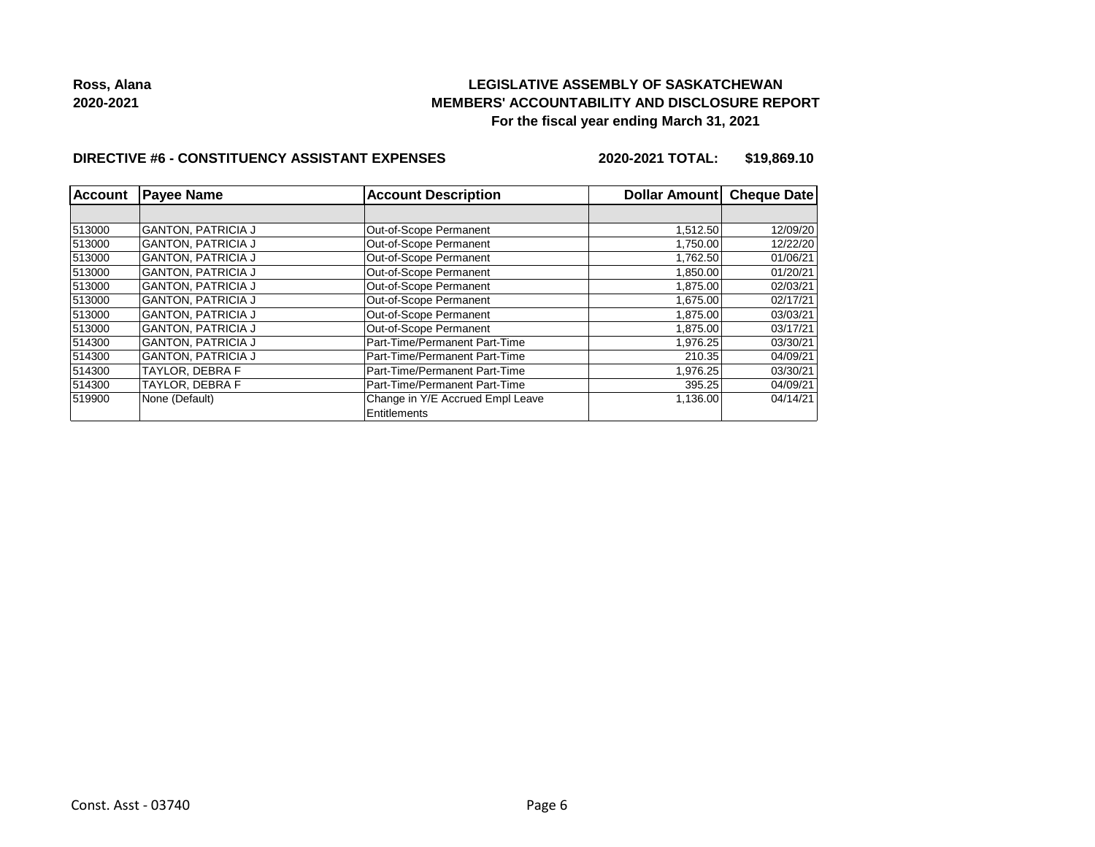## **LEGISLATIVE ASSEMBLY OF SASKATCHEWAN MEMBERS' ACCOUNTABILITY AND DISCLOSURE REPORT For the fiscal year ending March 31, 2021**

### **DIRECTIVE #6 - CONSTITUENCY ASSISTANT EXPENSES**

**2020-2021 TOTAL: \$19,869.10**

| <b>Account</b> | <b>Payee Name</b>         | <b>Account Description</b>                       | Dollar Amount | <b>Cheque Date</b> |  |
|----------------|---------------------------|--------------------------------------------------|---------------|--------------------|--|
|                |                           |                                                  |               |                    |  |
| 513000         | <b>GANTON, PATRICIA J</b> | Out-of-Scope Permanent                           | 1,512.50      | 12/09/20           |  |
| 513000         | <b>GANTON, PATRICIA J</b> | Out-of-Scope Permanent                           | 1,750.00      | 12/22/20           |  |
| 513000         | <b>GANTON, PATRICIA J</b> | Out-of-Scope Permanent                           | 1,762.50      | 01/06/21           |  |
| 513000         | <b>GANTON, PATRICIA J</b> | Out-of-Scope Permanent                           | 1.850.00      | 01/20/21           |  |
| 513000         | <b>GANTON, PATRICIA J</b> | Out-of-Scope Permanent                           | 1,875.00      | 02/03/21           |  |
| 513000         | <b>GANTON, PATRICIA J</b> | Out-of-Scope Permanent                           | 1.675.00      | 02/17/21           |  |
| 513000         | <b>GANTON, PATRICIA J</b> | Out-of-Scope Permanent                           | 1,875.00      | 03/03/21           |  |
| 513000         | <b>GANTON, PATRICIA J</b> | Out-of-Scope Permanent                           | 1,875.00      | 03/17/21           |  |
| 514300         | <b>GANTON, PATRICIA J</b> | Part-Time/Permanent Part-Time                    | 1,976.25      | 03/30/21           |  |
| 514300         | <b>GANTON, PATRICIA J</b> | Part-Time/Permanent Part-Time                    | 210.35        | 04/09/21           |  |
| 514300         | TAYLOR. DEBRA F           | Part-Time/Permanent Part-Time                    | 1,976.25      | 03/30/21           |  |
| 514300         | TAYLOR. DEBRA F           | Part-Time/Permanent Part-Time                    | 395.25        | 04/09/21           |  |
| 519900         | None (Default)            | Change in Y/E Accrued Empl Leave<br>Entitlements | 1,136.00      | 04/14/21           |  |